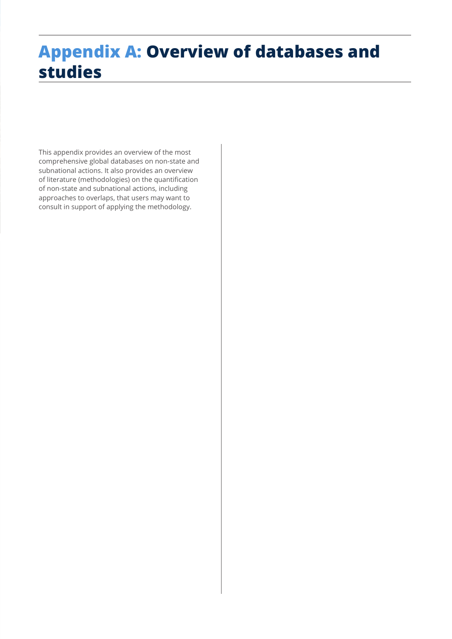# **Appendix A: Overview of databases and studies**

This appendix provides an overview of the most comprehensive global databases on non-state and subnational actions. It also provides an overview of literature (methodologies) on the quantification of non-state and subnational actions, including approaches to overlaps, that users may want to consult in support of applying the methodology.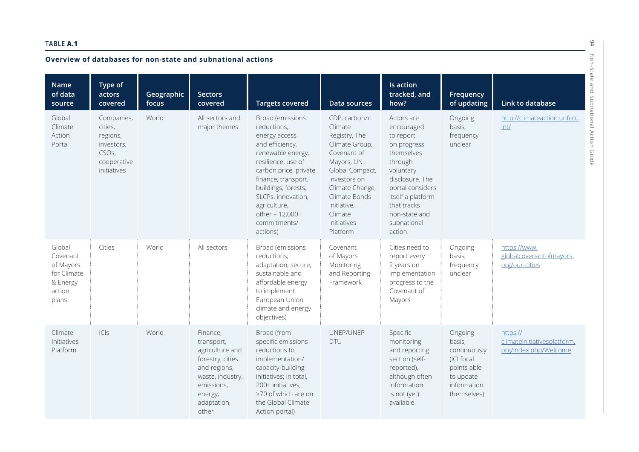#### **TABLE A.1**

### **Overview of databases for non-state and subnational actions**

| Overview of databases for non-state and subnational actions                   |                                                                                                     |                     |                                                                                                                                                    |                                                                                                                                                                                                                                                                            |                                                                                                                                                                                                                     |                                                                                                                                                                                                                  |                                                                                                           |                                                                  |  |  |  |
|-------------------------------------------------------------------------------|-----------------------------------------------------------------------------------------------------|---------------------|----------------------------------------------------------------------------------------------------------------------------------------------------|----------------------------------------------------------------------------------------------------------------------------------------------------------------------------------------------------------------------------------------------------------------------------|---------------------------------------------------------------------------------------------------------------------------------------------------------------------------------------------------------------------|------------------------------------------------------------------------------------------------------------------------------------------------------------------------------------------------------------------|-----------------------------------------------------------------------------------------------------------|------------------------------------------------------------------|--|--|--|
| <b>Name</b><br>of data<br>source                                              | Type of<br>actors<br>covered                                                                        | Geographic<br>focus | <b>Sectors</b><br>covered                                                                                                                          | <b>Targets covered</b>                                                                                                                                                                                                                                                     | Data sources                                                                                                                                                                                                        | <b>Is action</b><br>tracked, and<br>how?                                                                                                                                                                         | Frequency<br>of updating                                                                                  | -State<br>$\Omega$<br>$\overline{a}$<br>Link to database         |  |  |  |
| Global<br>Climate<br>Action<br>Portal                                         | Companies,<br>cities,<br>regions,<br>investors,<br>CSO <sub>S</sub> ,<br>cooperative<br>initiatives | World               | All sectors and<br>major themes                                                                                                                    | Broad (emissions<br>reductions,<br>energy access<br>and efficiency,<br>renewable energy,<br>resilience, use of<br>carbon price, private<br>finance, transport,<br>buildings, forests,<br>SLCPs, innovation,<br>agriculture,<br>other - 12,000+<br>commitments/<br>actions) | CDP, carbonn<br>Climate<br>Registry, The<br>Climate Group,<br>Covenant of<br>Mayors, UN<br>Global Compact,<br>Investors on<br>Climate Change,<br>Climate Bonds<br>Initiative,<br>Climate<br>Initiatives<br>Platform | Actors are<br>encouraged<br>to report<br>on progress<br>themselves<br>through<br>voluntary<br>disclosure. The<br>portal considers<br>itself a platform<br>that tracks<br>non-state and<br>subnational<br>action. | Ongoing<br>basis,<br>frequency<br>unclear                                                                 | http://climateaction.unfccc.<br>int/<br>Action                   |  |  |  |
| Global<br>Covenant<br>of Mayors<br>for Climate<br>& Energy<br>action<br>plans | Cities                                                                                              | World               | All sectors                                                                                                                                        | Broad (emissions<br>reductions;<br>adaptation; secure,<br>sustainable and<br>affordable energy<br>to implement<br>European Union<br>climate and energy<br>objectives)                                                                                                      | Covenant<br>of Mayors<br>Monitoring<br>and Reporting<br>Framework                                                                                                                                                   | Cities need to<br>report every<br>2 years on<br>implementation<br>progress to the<br>Covenant of<br>Mayors                                                                                                       | Ongoing<br>basis,<br>frequency<br>unclear                                                                 | https://www.<br>globalcovenantofmayors.<br>org/our-cities        |  |  |  |
| Climate<br>Initiatives<br>Platform                                            | C S                                                                                                 | World               | Finance,<br>transport,<br>agriculture and<br>forestry, cities<br>and regions,<br>waste, industry,<br>emissions,<br>energy,<br>adaptation,<br>other | Broad (from<br>specific emissions<br>reductions to<br>implementation/<br>capacity-building<br>initiatives; in total,<br>200+ initiatives,<br>>70 of which are on<br>the Global Climate<br>Action portal)                                                                   | UNEP/UNEP<br><b>DTU</b>                                                                                                                                                                                             | Specific<br>monitoring<br>and reporting<br>section (self-<br>reported),<br>although often<br>information<br>is not (yet)<br>available                                                                            | Ongoing<br>basis,<br>continuously<br>(ICI focal<br>points able<br>to update<br>information<br>themselves) | https://<br>climateinitiativesplatform.<br>org/index.php/Welcome |  |  |  |

94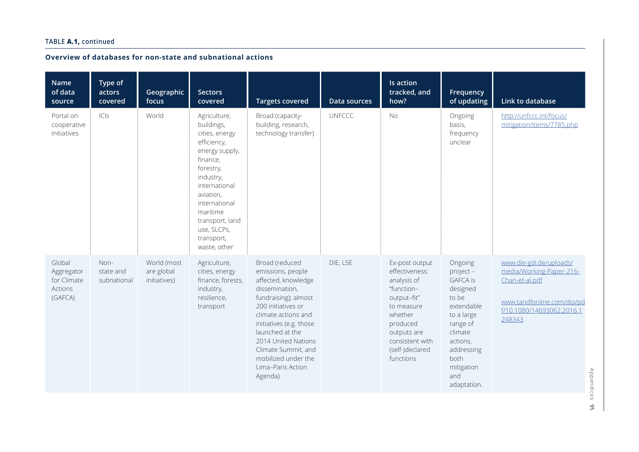## **Overview of databases for non-state and subnational actions**

| <b>Name</b><br>of data<br>source                          | Type of<br>actors<br>covered     | Geographic<br>focus                       | <b>Sectors</b><br>covered                                                                                                                                                                                                                      | <b>Targets covered</b>                                                                                                                                                                                                                                                                               | Data sources  | <b>Is action</b><br>tracked, and<br>how?                                                                                                                                            | Frequency<br>of updating                                                                                                                                                              | Link to database                                                                                                                           |
|-----------------------------------------------------------|----------------------------------|-------------------------------------------|------------------------------------------------------------------------------------------------------------------------------------------------------------------------------------------------------------------------------------------------|------------------------------------------------------------------------------------------------------------------------------------------------------------------------------------------------------------------------------------------------------------------------------------------------------|---------------|-------------------------------------------------------------------------------------------------------------------------------------------------------------------------------------|---------------------------------------------------------------------------------------------------------------------------------------------------------------------------------------|--------------------------------------------------------------------------------------------------------------------------------------------|
| Portal on<br>cooperative<br>initiatives                   | C S                              | World                                     | Agriculture,<br>buildings,<br>cities, energy<br>efficiency,<br>energy supply,<br>finance,<br>forestry,<br>industry,<br>international<br>aviation,<br>international<br>maritime<br>transport, land<br>use, SLCPs,<br>transport,<br>waste, other | Broad (capacity-<br>building, research,<br>technology transfer)                                                                                                                                                                                                                                      | <b>UNFCCC</b> | <b>No</b>                                                                                                                                                                           | Ongoing<br>basis,<br>frequency<br>unclear                                                                                                                                             | http://unfccc.int/focus/<br>mitigation/items/7785.php                                                                                      |
| Global<br>Aggregator<br>for Climate<br>Actions<br>(GAFCA) | Non-<br>state and<br>subnational | World (most<br>are global<br>initiatives) | Agriculture,<br>cities, energy<br>finance, forests,<br>industry,<br>resilience,<br>transport                                                                                                                                                   | Broad (reduced<br>emissions, people<br>affected, knowledge<br>dissemination,<br>fundraising); almost<br>200 initiatives or<br>climate actions and<br>initiatives (e.g. those<br>launched at the<br>2014 United Nations<br>Climate Summit, and<br>mobilized under the<br>Lima-Paris Action<br>Agenda) | DIE, LSE      | Ex-post output<br>effectiveness:<br>analysis of<br>"function-<br>output-fit"<br>to measure<br>whether<br>produced<br>outputs are<br>consistent with<br>(self-)declared<br>functions | Ongoing<br>project -<br><b>GAFCA is</b><br>designed<br>to be<br>extendable<br>to a large<br>range of<br>climate<br>actions,<br>addressing<br>both<br>mitigation<br>and<br>adaptation. | www.die-gdi.de/uploads/<br>media/Working-Paper-216-<br>Chan-et-al.pdf<br>www.tandfonline.com/doi/pd<br>f/10.1080/14693062.2016.1<br>248343 |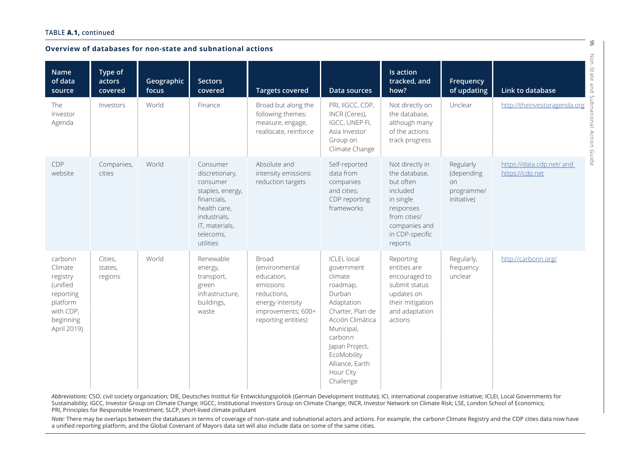| Overview of databases for non-state and subnational actions                                                  |                               |                     |                                                                                                                                                       |                                                                                                                                    |                                                                                                                                                                                                                          |                                                                                                                                                    |                                                            |                                              |  |  |
|--------------------------------------------------------------------------------------------------------------|-------------------------------|---------------------|-------------------------------------------------------------------------------------------------------------------------------------------------------|------------------------------------------------------------------------------------------------------------------------------------|--------------------------------------------------------------------------------------------------------------------------------------------------------------------------------------------------------------------------|----------------------------------------------------------------------------------------------------------------------------------------------------|------------------------------------------------------------|----------------------------------------------|--|--|
| <b>Name</b><br>of data<br>source                                                                             | Type of<br>actors<br>covered  | Geographic<br>focus | <b>Sectors</b><br>covered                                                                                                                             | <b>Targets covered</b>                                                                                                             | Data sources                                                                                                                                                                                                             | <b>Is action</b><br>tracked, and<br>how?                                                                                                           | Frequency<br>of updating                                   | Link to database                             |  |  |
| The<br>Investor<br>Agenda                                                                                    | Investors                     | World               | Finance                                                                                                                                               | Broad but along the<br>following themes:<br>measure, engage,<br>reallocate, reinforce                                              | PRI, IIGCC, CDP,<br>INCR (Ceres),<br>IGCC, UNEP FI,<br>Asia Investor<br>Group on<br>Climate Change                                                                                                                       | Not directly on<br>the database,<br>although many<br>of the actions<br>track progress                                                              | Unclear                                                    | http://theinvestoragenda.org                 |  |  |
| CDP<br>website                                                                                               | Companies,<br>cities          | World               | Consumer<br>discretionary,<br>consumer<br>staples, energy,<br>financials,<br>health care,<br>industrials,<br>IT, materials,<br>telecoms,<br>utilities | Absolute and<br>intensity emissions<br>reduction targets                                                                           | Self-reported<br>data from<br>companies<br>and cities;<br>CDP reporting<br>frameworks                                                                                                                                    | Not directly in<br>the database,<br>but often<br>included<br>in single<br>responses<br>from cities/<br>companies and<br>in CDP-specific<br>reports | Regularly<br>(depending<br>on<br>programme/<br>initiative) | https://data.cdp.net/ and<br>https://cdp.net |  |  |
| carbonn<br>Climate<br>registry<br>(unified<br>reporting<br>platform<br>with CDP,<br>beginning<br>April 2019) | Cities,<br>states,<br>regions | World               | Renewable<br>energy,<br>transport,<br>green<br>infrastructure,<br>buildings,<br>waste                                                                 | Broad<br>(environmental<br>education,<br>emissions<br>reductions,<br>energy intensity<br>improvements; 600+<br>reporting entities) | ICLEI, local<br>government<br>climate<br>roadmap,<br>Durban<br>Adaptation<br>Charter, Plan de<br>Acción Climática<br>Municipal,<br>carbonn<br>Japan Project,<br>EcoMobility<br>Alliance, Earth<br>Hour City<br>Challenge | Reporting<br>entities are<br>encouraged to<br>submit status<br>updates on<br>their mitigation<br>and adaptation<br>actions                         | Regularly,<br>frequency<br>unclear                         | http://carbonn.org/                          |  |  |

*Abbreviations:* CSO, civil society organization; DIE, Deutsches Institut für Entwicklungspolitik (German Development Institute); ICI, international cooperative initiative; ICLEI, Local Governments for Sustainability; IGCC, Investor Group on Climate Change; IIGCC, Institutional Investors Group on Climate Change; INCR, Investor Network on Climate Risk; LSE, London School of Economics; PRI, Principles for Responsible Investment; SLCP, short-lived climate pollutant

*Note:* There may be overlaps between the databases in terms of coverage of non-state and subnational actors and actions. For example, the carbon*n* Climate Registry and the CDP cities data now have a unified reporting platform, and the Global Covenant of Mayors data set will also include data on some of the same cities.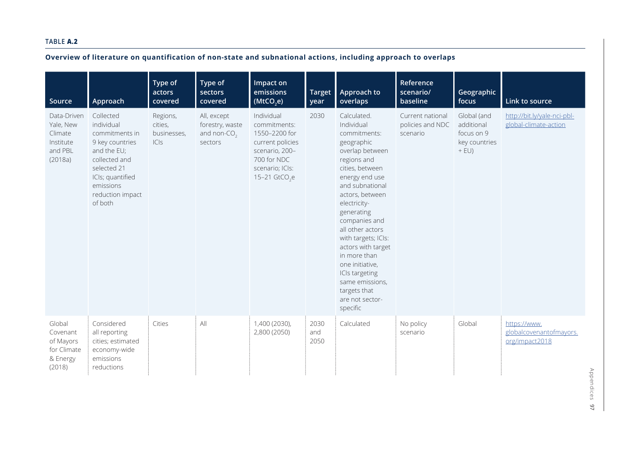#### **TABLE A.2**

| Source                                                                 | Approach                                                                                                                                                                    | Type of<br>actors<br>covered               | Type of<br>sectors<br>covered                                        | Impact on<br>emissions<br>(MtCO,e)                                                                                                     | Target<br>year      | Approach to<br>overlaps                                                                                                                                                                                                                                                                                                                                                                                     | Reference<br>scenario/<br>baseline               | Geographic<br>focus                                                 | Link to source                                            |
|------------------------------------------------------------------------|-----------------------------------------------------------------------------------------------------------------------------------------------------------------------------|--------------------------------------------|----------------------------------------------------------------------|----------------------------------------------------------------------------------------------------------------------------------------|---------------------|-------------------------------------------------------------------------------------------------------------------------------------------------------------------------------------------------------------------------------------------------------------------------------------------------------------------------------------------------------------------------------------------------------------|--------------------------------------------------|---------------------------------------------------------------------|-----------------------------------------------------------|
| Data-Driven<br>Yale, New<br>Climate<br>Institute<br>and PBL<br>(2018a) | Collected<br>individual<br>commitments in<br>9 key countries<br>and the EU;<br>collected and<br>selected 21<br>ICIs; quantified<br>emissions<br>reduction impact<br>of both | Regions,<br>cities,<br>businesses,<br> C S | All, except<br>forestry, waste<br>and non-CO <sub>2</sub><br>sectors | Individual<br>commitments:<br>1550-2200 for<br>current policies<br>scenario, 200-<br>700 for NDC<br>scenario; ICIs:<br>15-21 $GtCO_2e$ | 2030                | Calculated.<br>Individual<br>commitments:<br>geographic<br>overlap between<br>regions and<br>cities, between<br>energy end use<br>and subnational<br>actors, between<br>electricity-<br>generating<br>companies and<br>all other actors<br>with targets; ICIs:<br>actors with target<br>in more than<br>one initiative,<br>ICIs targeting<br>same emissions,<br>targets that<br>are not sector-<br>specific | Current national<br>policies and NDC<br>scenario | Global (and<br>additional<br>focus on 9<br>key countries<br>$+$ EU) | http://bit.ly/yale-nci-pbl-<br>global-climate-action      |
| Global<br>Covenant<br>of Mayors<br>for Climate<br>& Energy<br>(2018)   | Considered<br>all reporting<br>cities; estimated<br>economy-wide<br>emissions<br>reductions                                                                                 | Cities                                     | All                                                                  | 1,400 (2030),<br>2,800 (2050)                                                                                                          | 2030<br>and<br>2050 | Calculated                                                                                                                                                                                                                                                                                                                                                                                                  | No policy<br>scenario                            | Global                                                              | https://www.<br>globalcovenantofmayors.<br>org/impact2018 |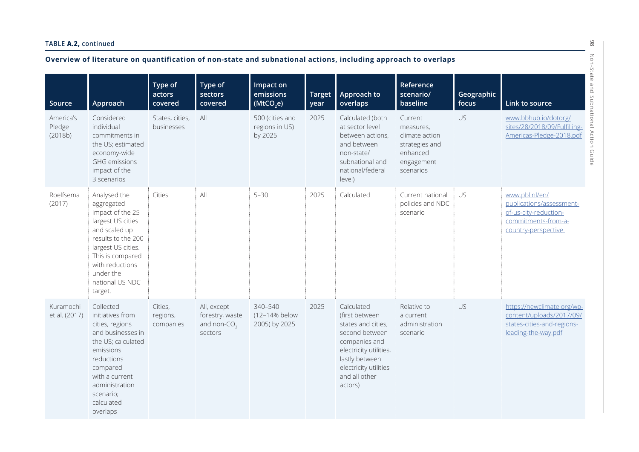|                                | Overview of literature on quantification of non-state and subnational actions, including approach to overlaps                                                                                                      |                                  |                                                             |                                              |                       |                                                                                                                                                                                        |                                                                                                 |                     |                                                                                                                   |  |
|--------------------------------|--------------------------------------------------------------------------------------------------------------------------------------------------------------------------------------------------------------------|----------------------------------|-------------------------------------------------------------|----------------------------------------------|-----------------------|----------------------------------------------------------------------------------------------------------------------------------------------------------------------------------------|-------------------------------------------------------------------------------------------------|---------------------|-------------------------------------------------------------------------------------------------------------------|--|
| Source                         | Approach                                                                                                                                                                                                           | Type of<br>actors<br>covered     | Type of<br>sectors<br>covered                               | Impact on<br>emissions<br>(MtCO,e)           | <b>Target</b><br>year | Approach to<br>overlaps                                                                                                                                                                | Reference<br>scenario/<br>baseline                                                              | Geographic<br>focus | -State<br>$\mathbf \omega$<br>$\overline{a}$<br>Link to source                                                    |  |
| America's<br>Pledge<br>(2018b) | Considered<br>individual<br>commitments in<br>the US; estimated<br>economy-wide<br><b>GHG</b> emissions<br>impact of the<br>3 scenarios                                                                            | States, cities,<br>businesses    | All                                                         | 500 (cities and<br>regions in US)<br>by 2025 | 2025                  | Calculated (both<br>at sector level<br>between actions,<br>and between<br>non-state/<br>subnational and<br>national/federal<br>level)                                                  | Current<br>measures,<br>climate action<br>strategies and<br>enhanced<br>engagement<br>scenarios | US                  | www.bbhub.io/dotorg/<br>sites/28/2018/09/Fulfilling-<br>Americas-Pledge-2018.pdf<br>Guide                         |  |
| Roelfsema<br>(2017)            | Analysed the<br>aggregated<br>impact of the 25<br>largest US cities<br>and scaled up<br>results to the 200<br>largest US cities.<br>This is compared<br>with reductions<br>under the<br>national US NDC<br>target. | Cities                           | All                                                         | $5 - 30$                                     | 2025                  | Calculated                                                                                                                                                                             | Current national<br>policies and NDC<br>scenario                                                | US                  | www.pbl.nl/en/<br>publications/assessment-<br>of-us-city-reduction-<br>commitments-from-a-<br>country-perspective |  |
| Kuramochi<br>et al. (2017)     | Collected<br>initiatives from<br>cities, regions<br>and businesses in<br>the US; calculated<br>emissions<br>reductions<br>compared<br>with a current<br>administration<br>scenario;<br>calculated<br>overlaps      | Cities,<br>regions,<br>companies | All, except<br>forestry, waste<br>and non- $CO2$<br>sectors | 340-540<br>(12-14% below<br>2005) by 2025    | 2025                  | Calculated<br>(first between<br>states and cities,<br>second between<br>companies and<br>electricity utilities,<br>lastly between<br>electricity utilities<br>and all other<br>actors) | Relative to<br>a current<br>administration<br>scenario                                          | US                  | https://newclimate.org/wp-<br>content/uploads/2017/09/<br>states-cities-and-regions-<br>leading-the-way.pdf       |  |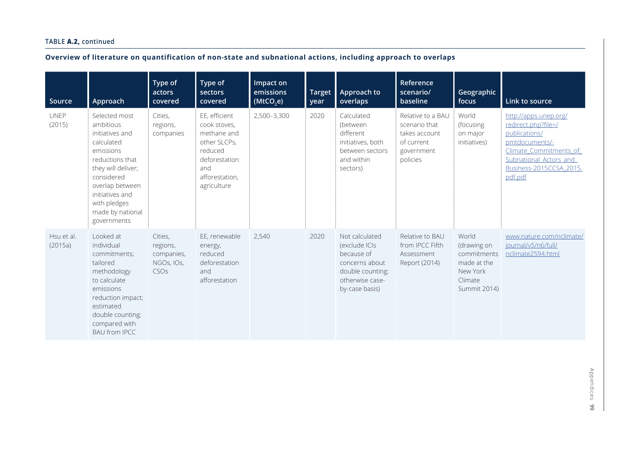| Source                | Approach                                                                                                                                                                                                                 | Type of<br>actors<br>covered                                        | Type of<br>sectors<br>covered                                                                                                    | Impact on<br>emissions<br>(MtCO,e) | <b>Target</b><br>year | Approach to<br>overlaps                                                                                                  | Reference<br>scenario/<br>baseline                                                          | Geographic<br>focus                                                                       | Link to source                                                                                                                                                            |
|-----------------------|--------------------------------------------------------------------------------------------------------------------------------------------------------------------------------------------------------------------------|---------------------------------------------------------------------|----------------------------------------------------------------------------------------------------------------------------------|------------------------------------|-----------------------|--------------------------------------------------------------------------------------------------------------------------|---------------------------------------------------------------------------------------------|-------------------------------------------------------------------------------------------|---------------------------------------------------------------------------------------------------------------------------------------------------------------------------|
| <b>UNEP</b><br>(2015) | Selected most<br>ambitious<br>initiatives and<br>calculated<br>emissions<br>reductions that<br>they will deliver;<br>considered<br>overlap between<br>initiatives and<br>with pledges<br>made by national<br>governments | Cities,<br>regions,<br>companies                                    | EE, efficient<br>cook stoves,<br>methane and<br>other SLCPs,<br>reduced<br>deforestation<br>and<br>afforestation,<br>agriculture | 2,500-3,300                        | 2020                  | Calculated<br>(between<br>different<br>initiatives, both<br>between sectors<br>and within<br>sectors)                    | Relative to a BAU<br>scenario that<br>takes account<br>of current<br>government<br>policies | World<br>(focusing<br>on major<br>initiatives)                                            | http://apps.unep.org/<br>redirect.php?file=/<br>publications/<br>pmtdocuments/-<br>Climate Commitments of<br>Subnational Actors and<br>Business-2015CCSA_2015.<br>pdf.pdf |
| Hsu et al.<br>(2015a) | Looked at<br>individual<br>commitments;<br>tailored<br>methodology<br>to calculate<br>emissions<br>reduction impact;<br>estimated<br>double counting;<br>compared with<br><b>BAU from IPCC</b>                           | Cities,<br>regions,<br>companies,<br>NGOs, IOs,<br>CSO <sub>S</sub> | EE, renewable<br>energy,<br>reduced<br>deforestation<br>and<br>afforestation                                                     | 2,540                              | 2020                  | Not calculated<br>(exclude ICIs<br>because of<br>concerns about<br>double counting;<br>otherwise case-<br>by-case basis) | Relative to BAU<br>from IPCC Fifth<br>Assessment<br>Report (2014)                           | World<br>(drawing on<br>commitments<br>made at the<br>New York<br>Climate<br>Summit 2014) | www.nature.com/nclimate/<br>journal/v5/n6/full/<br>nclimate2594.html                                                                                                      |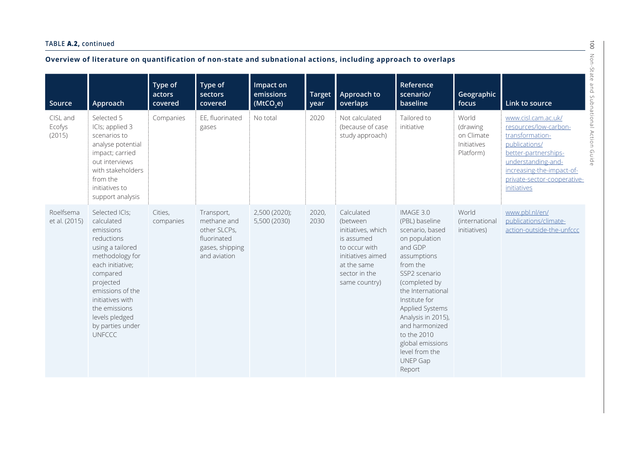| Overview of literature on quantification of non-state and subnational actions, including approach to overlaps |                                                                                                                                                                                                                                                             |                              |                                                                                             |                                    |                       |                                                                                                                                                   |                                                                                                                                                                                                                                                                                                                            |                                                             |                                                                                                                                                                                                           |  |
|---------------------------------------------------------------------------------------------------------------|-------------------------------------------------------------------------------------------------------------------------------------------------------------------------------------------------------------------------------------------------------------|------------------------------|---------------------------------------------------------------------------------------------|------------------------------------|-----------------------|---------------------------------------------------------------------------------------------------------------------------------------------------|----------------------------------------------------------------------------------------------------------------------------------------------------------------------------------------------------------------------------------------------------------------------------------------------------------------------------|-------------------------------------------------------------|-----------------------------------------------------------------------------------------------------------------------------------------------------------------------------------------------------------|--|
| Source                                                                                                        | Approach                                                                                                                                                                                                                                                    | Type of<br>actors<br>covered | Type of<br>sectors<br>covered                                                               | Impact on<br>emissions<br>(MtCO,e) | <b>Target</b><br>year | Approach to<br>overlaps                                                                                                                           | Reference<br>scenario/<br>baseline                                                                                                                                                                                                                                                                                         | Geographic<br>focus                                         | Link to source                                                                                                                                                                                            |  |
| CISL and<br>Ecofys<br>(2015)                                                                                  | Selected 5<br>ICIs; applied 3<br>scenarios to<br>analyse potential<br>impact; carried<br>out interviews<br>with stakeholders<br>from the<br>initiatives to<br>support analysis                                                                              | Companies                    | EE, fluorinated<br>gases                                                                    | No total                           | 2020                  | Not calculated<br>(because of case<br>study approach)                                                                                             | Tailored to<br>initiative                                                                                                                                                                                                                                                                                                  | World<br>(drawing<br>on Climate<br>Initiatives<br>Platform) | www.cisl.cam.ac.uk/<br>resources/low-carbon-<br>transformation-<br>publications/<br>better-partnerships-<br>understanding-and-<br>increasing-the-impact-of-<br>private-sector-cooperative-<br>initiatives |  |
| Roelfsema<br>et al. (2015)                                                                                    | Selected ICIs;<br>calculated<br>emissions<br>reductions<br>using a tailored<br>methodology for<br>each initiative;<br>compared<br>projected<br>emissions of the<br>initiatives with<br>the emissions<br>levels pledged<br>by parties under<br><b>UNFCCC</b> | Cities,<br>companies         | Transport,<br>methane and<br>other SLCPs,<br>fluorinated<br>gases, shipping<br>and aviation | 2,500 (2020);<br>5,500 (2030)      | 2020,<br>2030         | Calculated<br>(between<br>initiatives, which<br>is assumed<br>to occur with<br>initiatives aimed<br>at the same<br>sector in the<br>same country) | IMAGE 3.0<br>(PBL) baseline<br>scenario, based<br>on population<br>and GDP<br>assumptions<br>from the<br>SSP2 scenario<br>(completed by<br>the International<br>Institute for<br>Applied Systems<br>Analysis in 2015),<br>and harmonized<br>to the 2010<br>global emissions<br>level from the<br><b>UNEP Gap</b><br>Report | World<br>(international<br>initiatives)                     | www.pbl.nl/en/<br>publications/climate-<br>action-outside-the-unfccc                                                                                                                                      |  |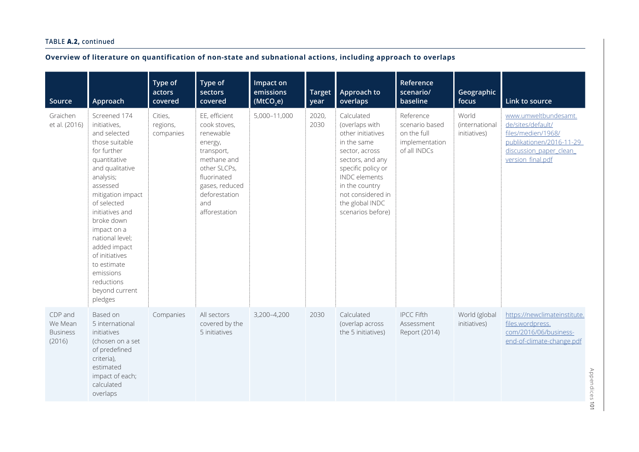| Source                                          | Approach                                                                                                                                                                                                                                                                                                                                                  | Type of<br>actors<br>covered     | Type of<br>sectors<br>covered                                                                                                                                                | Impact on<br>emissions<br>(MtCO,e) | <b>Target</b><br>year | Approach to<br>overlaps                                                                                                                                                                                                             | Reference<br>scenario/<br>baseline                                           | Geographic<br>focus                     | Link to source                                                                                                                             |
|-------------------------------------------------|-----------------------------------------------------------------------------------------------------------------------------------------------------------------------------------------------------------------------------------------------------------------------------------------------------------------------------------------------------------|----------------------------------|------------------------------------------------------------------------------------------------------------------------------------------------------------------------------|------------------------------------|-----------------------|-------------------------------------------------------------------------------------------------------------------------------------------------------------------------------------------------------------------------------------|------------------------------------------------------------------------------|-----------------------------------------|--------------------------------------------------------------------------------------------------------------------------------------------|
| Graichen<br>et al. (2016)                       | Screened 174<br>initiatives,<br>and selected<br>those suitable<br>for further<br>quantitative<br>and qualitative<br>analysis;<br>assessed<br>mitigation impact<br>of selected<br>initiatives and<br>broke down<br>impact on a<br>national level;<br>added impact<br>of initiatives<br>to estimate<br>emissions<br>reductions<br>beyond current<br>pledges | Cities,<br>regions,<br>companies | EE, efficient<br>cook stoves,<br>renewable<br>energy,<br>transport,<br>methane and<br>other SLCPs,<br>fluorinated<br>gases, reduced<br>deforestation<br>and<br>afforestation | 5,000-11,000                       | 2020,<br>2030         | Calculated<br>(overlaps with<br>other initiatives<br>in the same<br>sector, across<br>sectors, and any<br>specific policy or<br><b>INDC</b> elements<br>in the country<br>not considered in<br>the global INDC<br>scenarios before) | Reference<br>scenario based<br>on the full<br>implementation<br>of all INDCs | World<br>(international<br>initiatives) | www.umweltbundesamt.<br>de/sites/default/<br>files/medien/1968/<br>publikationen/2016-11-29<br>discussion paper clean<br>version_final.pdf |
| CDP and<br>We Mean<br><b>Business</b><br>(2016) | Based on<br>5 international<br>initiatives<br>(chosen on a set<br>of predefined<br>criteria),<br>estimated<br>impact of each;<br>calculated<br>overlaps                                                                                                                                                                                                   | Companies                        | All sectors<br>covered by the<br>5 initiatives                                                                                                                               | 3,200-4,200                        | 2030                  | Calculated<br>(overlap across<br>the 5 initiatives)                                                                                                                                                                                 | <b>IPCC Fifth</b><br>Assessment<br>Report (2014)                             | World (global<br>initiatives)           | https://newclimateinstitute.<br>files.wordpress.<br>com/2016/06/business-<br>end-of-climate-change.pdf                                     |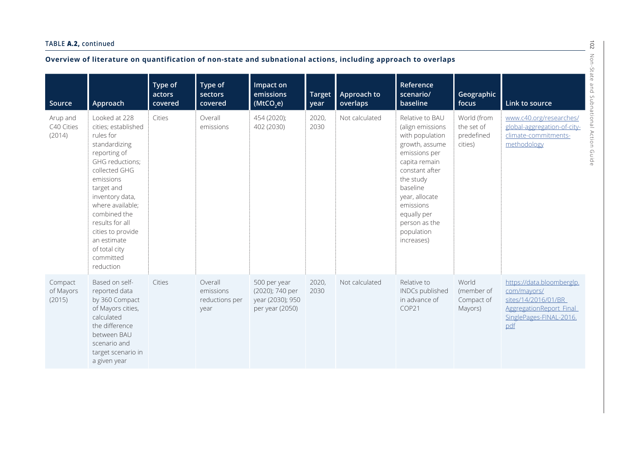| Overview of literature on quantification of non-state and subnational actions, including approach to overlaps<br>-State |                                                                                                                                                                                                                                                                                                            |                              |                                                |                                                                        |                       |                         |                                                                                                                                                                                                                                                  |                                                    |                                                                                                                              |  |  |
|-------------------------------------------------------------------------------------------------------------------------|------------------------------------------------------------------------------------------------------------------------------------------------------------------------------------------------------------------------------------------------------------------------------------------------------------|------------------------------|------------------------------------------------|------------------------------------------------------------------------|-----------------------|-------------------------|--------------------------------------------------------------------------------------------------------------------------------------------------------------------------------------------------------------------------------------------------|----------------------------------------------------|------------------------------------------------------------------------------------------------------------------------------|--|--|
| Source                                                                                                                  | Approach                                                                                                                                                                                                                                                                                                   | Type of<br>actors<br>covered | Type of<br>sectors<br>covered                  | Impact on<br>emissions<br>(MtCO,e)                                     | <b>Target</b><br>year | Approach to<br>overlaps | Reference<br>scenario/<br>baseline                                                                                                                                                                                                               | Geographic<br>focus                                | Link to source                                                                                                               |  |  |
| Arup and<br>C40 Cities<br>(2014)                                                                                        | Looked at 228<br>cities; established<br>rules for<br>standardizing<br>reporting of<br>GHG reductions;<br>collected GHG<br>emissions<br>target and<br>inventory data,<br>where available;<br>combined the<br>results for all<br>cities to provide<br>an estimate<br>of total city<br>committed<br>reduction | Cities                       | Overall<br>emissions                           | 454 (2020);<br>402 (2030)                                              | 2020,<br>2030         | Not calculated          | Relative to BAU<br>(align emissions<br>with population<br>growth, assume<br>emissions per<br>capita remain<br>constant after<br>the study<br>baseline<br>year, allocate<br>emissions<br>equally per<br>person as the<br>population<br>increases) | World (from<br>the set of<br>predefined<br>cities) | www.c40.org/researches/<br>global-aggregation-of-city-<br>climate-commitments-<br>methodology                                |  |  |
| Compact<br>of Mayors<br>(2015)                                                                                          | Based on self-<br>reported data<br>by 360 Compact<br>of Mayors cities,<br>calculated<br>the difference<br>between BAU<br>scenario and<br>target scenario in<br>a given year                                                                                                                                | Cities                       | Overall<br>emissions<br>reductions per<br>year | 500 per year<br>(2020); 740 per<br>year (2030); 950<br>per year (2050) | 2020,<br>2030         | Not calculated          | Relative to<br>INDCs published<br>in advance of<br>COP21                                                                                                                                                                                         | World<br>(member of<br>Compact of<br>Mayors)       | https://data.bloomberglp.<br>com/mayors/<br>sites/14/2016/01/BR<br>AggregationReport Final<br>SinglePages-FINAL-2016.<br>pdf |  |  |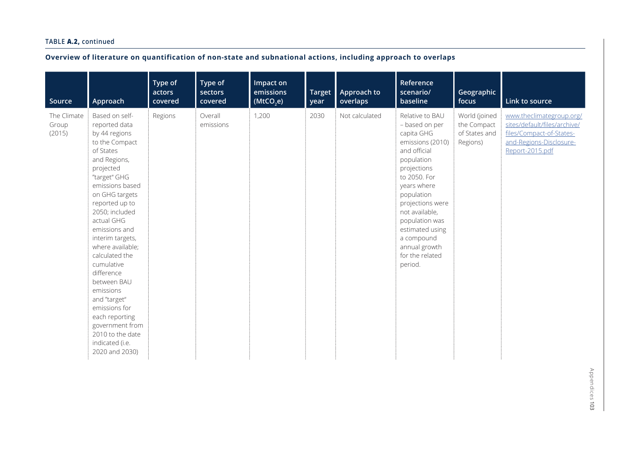| Source                         | Approach                                                                                                                                                                                                                                                                                                                                                                                                                                                                              | Type of<br>actors<br>covered | Type of<br>sectors<br>covered | Impact on<br>emissions<br>(MtCO,e) | <b>Target</b><br>year | Approach to<br>overlaps | Reference<br>scenario/<br>baseline                                                                                                                                                                                                                                                                    | Geographic<br>focus                                       | Link to source                                                                                                                     |
|--------------------------------|---------------------------------------------------------------------------------------------------------------------------------------------------------------------------------------------------------------------------------------------------------------------------------------------------------------------------------------------------------------------------------------------------------------------------------------------------------------------------------------|------------------------------|-------------------------------|------------------------------------|-----------------------|-------------------------|-------------------------------------------------------------------------------------------------------------------------------------------------------------------------------------------------------------------------------------------------------------------------------------------------------|-----------------------------------------------------------|------------------------------------------------------------------------------------------------------------------------------------|
| The Climate<br>Group<br>(2015) | Based on self-<br>reported data<br>by 44 regions<br>to the Compact<br>of States<br>and Regions,<br>projected<br>"target" GHG<br>emissions based<br>on GHG targets<br>reported up to<br>2050; included<br>actual GHG<br>emissions and<br>interim targets,<br>where available;<br>calculated the<br>cumulative<br>difference<br>between BAU<br>emissions<br>and "target"<br>emissions for<br>each reporting<br>government from<br>2010 to the date<br>indicated (i.e.<br>2020 and 2030) | Regions                      | Overall<br>emissions          | 1,200                              | 2030                  | Not calculated          | Relative to BAU<br>- based on per<br>capita GHG<br>emissions (2010)<br>and official<br>population<br>projections<br>to 2050. For<br>years where<br>population<br>projections were<br>not available,<br>population was<br>estimated using<br>a compound<br>annual growth<br>for the related<br>period. | World (joined<br>the Compact<br>of States and<br>Regions) | www.theclimategroup.org/<br>sites/default/files/archive/<br>files/Compact-of-States-<br>and-Regions-Disclosure-<br>Report-2015.pdf |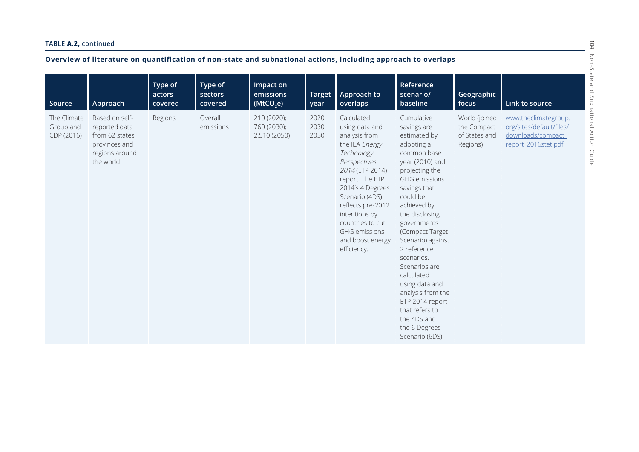| Source                                 | Approach                                                                                           | Type of<br>actors<br>covered | Type of<br>sectors<br>covered | Impact on<br>emissions<br>(MtCO,e)         | <b>Target</b><br>year  | Approach to<br>overlaps                                                                                                                                                                                                                                                                        | Reference<br>scenario/<br>baseline                                                                                                                                                                                                                                                                                                                                                                                                                 | Geographic<br>focus                                       | Link to source                                                                               |
|----------------------------------------|----------------------------------------------------------------------------------------------------|------------------------------|-------------------------------|--------------------------------------------|------------------------|------------------------------------------------------------------------------------------------------------------------------------------------------------------------------------------------------------------------------------------------------------------------------------------------|----------------------------------------------------------------------------------------------------------------------------------------------------------------------------------------------------------------------------------------------------------------------------------------------------------------------------------------------------------------------------------------------------------------------------------------------------|-----------------------------------------------------------|----------------------------------------------------------------------------------------------|
| The Climate<br>Group and<br>CDP (2016) | Based on self-<br>reported data<br>from 62 states,<br>provinces and<br>regions around<br>the world | Regions                      | Overall<br>emissions          | 210 (2020);<br>760 (2030);<br>2,510 (2050) | 2020,<br>2030,<br>2050 | Calculated<br>using data and<br>analysis from<br>the IEA Energy<br>Technology<br>Perspectives<br>2014 (ETP 2014)<br>report. The ETP<br>2014's 4 Degrees<br>Scenario (4DS)<br>reflects pre-2012<br>intentions by<br>countries to cut<br><b>GHG</b> emissions<br>and boost energy<br>efficiency. | Cumulative<br>savings are<br>estimated by<br>adopting a<br>common base<br>year (2010) and<br>projecting the<br><b>GHG</b> emissions<br>savings that<br>could be<br>achieved by<br>the disclosing<br>governments<br>(Compact Target<br>Scenario) against<br>2 reference<br>scenarios.<br>Scenarios are<br>calculated<br>using data and<br>analysis from the<br>ETP 2014 report<br>that refers to<br>the 4DS and<br>the 6 Degrees<br>Scenario (6DS). | World (joined<br>the Compact<br>of States and<br>Regions) | www.theclimategroup.<br>org/sites/default/files/<br>downloads/compact<br>report_2016stet.pdf |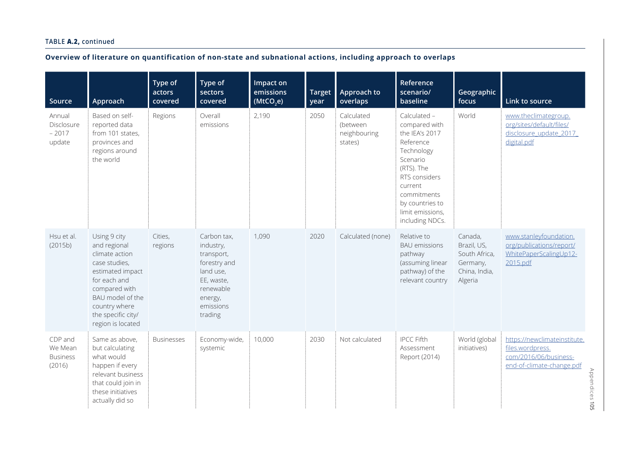| Source                                          | Approach                                                                                                                                                                                             | Type of<br>actors<br>covered | Type of<br>sectors<br>covered                                                                                                     | Impact on<br>emissions<br>(MtCO,e) | <b>Target</b><br>year | Approach to<br>overlaps                           | Reference<br>scenario/<br>baseline                                                                                                                                                                        | Geographic<br>focus                                                             | Link to source                                                                                                           |
|-------------------------------------------------|------------------------------------------------------------------------------------------------------------------------------------------------------------------------------------------------------|------------------------------|-----------------------------------------------------------------------------------------------------------------------------------|------------------------------------|-----------------------|---------------------------------------------------|-----------------------------------------------------------------------------------------------------------------------------------------------------------------------------------------------------------|---------------------------------------------------------------------------------|--------------------------------------------------------------------------------------------------------------------------|
| Annual<br>Disclosure<br>$-2017$<br>update       | Based on self-<br>reported data<br>from 101 states,<br>provinces and<br>regions around<br>the world                                                                                                  | Regions                      | Overall<br>emissions                                                                                                              | 2,190                              | 2050                  | Calculated<br>(between<br>neighbouring<br>states) | Calculated -<br>compared with<br>the IEA's 2017<br>Reference<br>Technology<br>Scenario<br>(RTS). The<br>RTS considers<br>current<br>commitments<br>by countries to<br>limit emissions,<br>including NDCs. | World                                                                           | www.theclimategroup.<br>org/sites/default/files/<br>disclosure update 2017<br>digital.pdf                                |
| Hsu et al.<br>(2015b)                           | Using 9 city<br>and regional<br>climate action<br>case studies,<br>estimated impact<br>for each and<br>compared with<br>BAU model of the<br>country where<br>the specific city/<br>region is located | Cities,<br>regions           | Carbon tax,<br>industry,<br>transport,<br>forestry and<br>land use,<br>EE, waste,<br>renewable<br>energy,<br>emissions<br>trading | 1,090                              | 2020                  | Calculated (none)                                 | Relative to<br><b>BAU</b> emissions<br>pathway<br>(assuming linear<br>pathway) of the<br>relevant country                                                                                                 | Canada,<br>Brazil, US,<br>South Africa,<br>Germany,<br>China, India,<br>Algeria | www.stanleyfoundation.<br>org/publications/report/<br>WhitePaperScalingUp12-<br>2015.pdf                                 |
| CDP and<br>We Mean<br><b>Business</b><br>(2016) | Same as above,<br>but calculating<br>what would<br>happen if every<br>relevant business<br>that could join in<br>these initiatives<br>actually did so                                                | <b>Businesses</b>            | Economy-wide,<br>systemic                                                                                                         | 10,000                             | 2030                  | Not calculated                                    | <b>IPCC Fifth</b><br>Assessment<br>Report (2014)                                                                                                                                                          | World (global<br>initiatives)                                                   | https://newclimateinstitute.<br>files.wordpress.<br>com/2016/06/business-<br>end-of-climate-change.pdf<br>Appendices 105 |